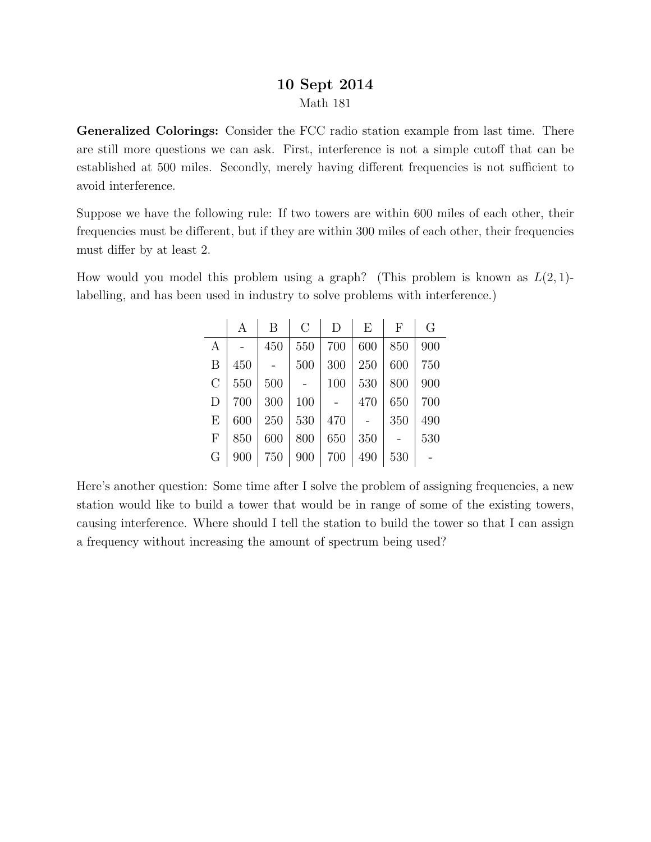## 10 Sept 2014 Math 181

Generalized Colorings: Consider the FCC radio station example from last time. There are still more questions we can ask. First, interference is not a simple cutoff that can be established at 500 miles. Secondly, merely having different frequencies is not sufficient to avoid interference.

Suppose we have the following rule: If two towers are within 600 miles of each other, their frequencies must be different, but if they are within 300 miles of each other, their frequencies must differ by at least 2.

How would you model this problem using a graph? (This problem is known as  $L(2, 1)$ labelling, and has been used in industry to solve problems with interference.)

|                  | А   | B   | $\rm C$ | D   | E   | $\mathbf{F}$ | G   |
|------------------|-----|-----|---------|-----|-----|--------------|-----|
| $\boldsymbol{A}$ |     | 450 | 550     | 700 | 600 | 850          | 900 |
| B                | 450 |     | 500     | 300 | 250 | 600          | 750 |
| $\mathcal{C}$    | 550 | 500 |         | 100 | 530 | 800          | 900 |
| D                | 700 | 300 | 100     |     | 470 | 650          | 700 |
| E                | 600 | 250 | 530     | 470 |     | 350          | 490 |
| $\mathbf{F}$     | 850 | 600 | 800     | 650 | 350 |              | 530 |
| G                | 900 | 750 | 900     | 700 | 490 | 530          |     |

Here's another question: Some time after I solve the problem of assigning frequencies, a new station would like to build a tower that would be in range of some of the existing towers, causing interference. Where should I tell the station to build the tower so that I can assign a frequency without increasing the amount of spectrum being used?